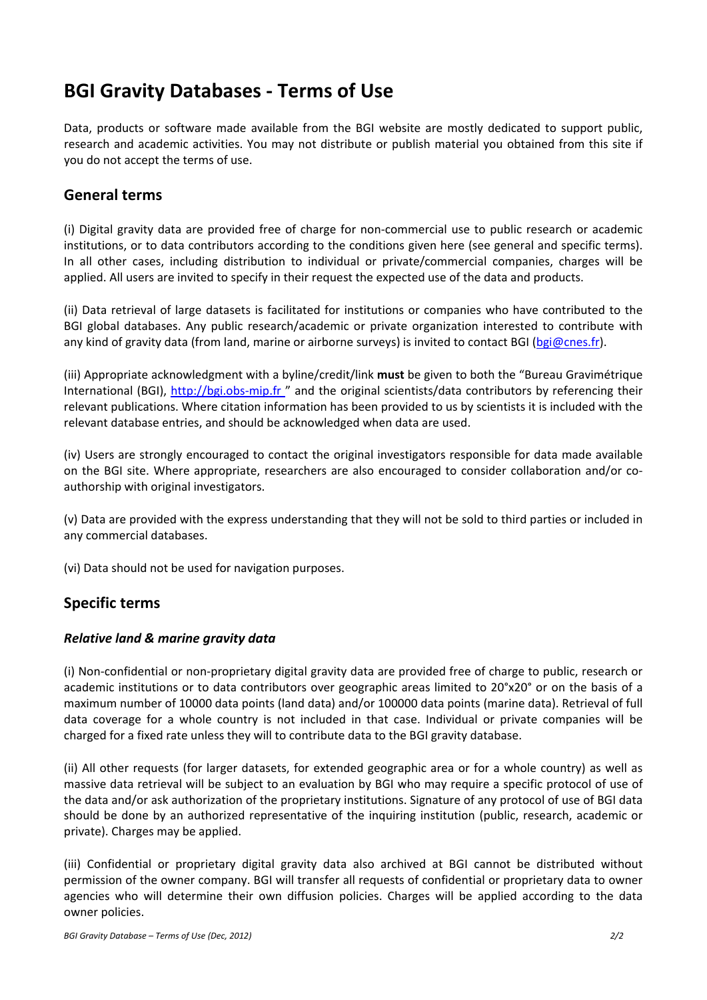# **BGI Gravity Databases ‐ Terms of Use**

Data, products or software made available from the BGI website are mostly dedicated to support public, research and academic activities. You may not distribute or publish material you obtained from this site if you do not accept the terms of use.

## **General terms**

(i) Digital gravity data are provided free of charge for non‐commercial use to public research or academic institutions, or to data contributors according to the conditions given here (see general and specific terms). In all other cases, including distribution to individual or private/commercial companies, charges will be applied. All users are invited to specify in their request the expected use of the data and products.

(ii) Data retrieval of large datasets is facilitated for institutions or companies who have contributed to the BGI global databases. Any public research/academic or private organization interested to contribute with any kind of gravity data (from land, marine or airborne surveys) is invited to contact BGI (bgi@cnes.fr).

(iii) Appropriate acknowledgment with a byline/credit/link **must** be given to both the "Bureau Gravimétrique International (BGI), http://bgi.obs-mip.fr " and the original scientists/data contributors by referencing their relevant publications. Where citation information has been provided to us by scientists it is included with the relevant database entries, and should be acknowledged when data are used.

(iv) Users are strongly encouraged to contact the original investigators responsible for data made available on the BGI site. Where appropriate, researchers are also encouraged to consider collaboration and/or co‐ authorship with original investigators.

(v) Data are provided with the express understanding that they will not be sold to third parties or included in any commercial databases.

(vi) Data should not be used for navigation purposes.

## **Specific terms**

#### *Relative land & marine gravity data*

(i) Non‐confidential or non‐proprietary digital gravity data are provided free of charge to public, research or academic institutions or to data contributors over geographic areas limited to 20°x20° or on the basis of a maximum number of 10000 data points (land data) and/or 100000 data points (marine data). Retrieval of full data coverage for a whole country is not included in that case. Individual or private companies will be charged for a fixed rate unless they will to contribute data to the BGI gravity database.

(ii) All other requests (for larger datasets, for extended geographic area or for a whole country) as well as massive data retrieval will be subject to an evaluation by BGI who may require a specific protocol of use of the data and/or ask authorization of the proprietary institutions. Signature of any protocol of use of BGI data should be done by an authorized representative of the inquiring institution (public, research, academic or private). Charges may be applied.

(iii) Confidential or proprietary digital gravity data also archived at BGI cannot be distributed without permission of the owner company. BGI will transfer all requests of confidential or proprietary data to owner agencies who will determine their own diffusion policies. Charges will be applied according to the data owner policies.